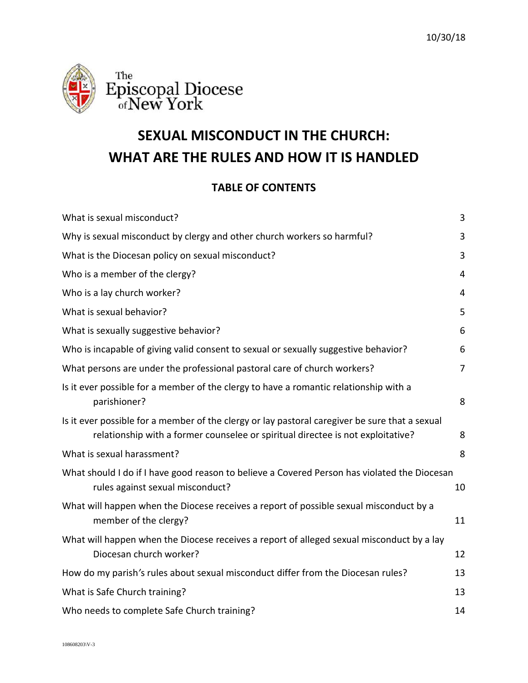



# **SEXUAL MISCONDUCT IN THE CHURCH: WHAT ARE THE RULES AND HOW IT IS HANDLED**

# **TABLE OF CONTENTS**

| What is sexual misconduct?                                                                                                                                                        | 3              |
|-----------------------------------------------------------------------------------------------------------------------------------------------------------------------------------|----------------|
| Why is sexual misconduct by clergy and other church workers so harmful?                                                                                                           | 3              |
| What is the Diocesan policy on sexual misconduct?                                                                                                                                 | 3              |
| Who is a member of the clergy?                                                                                                                                                    | $\overline{4}$ |
| Who is a lay church worker?                                                                                                                                                       | 4              |
| What is sexual behavior?                                                                                                                                                          | 5              |
| What is sexually suggestive behavior?                                                                                                                                             | 6              |
| Who is incapable of giving valid consent to sexual or sexually suggestive behavior?                                                                                               | 6              |
| What persons are under the professional pastoral care of church workers?                                                                                                          | 7              |
| Is it ever possible for a member of the clergy to have a romantic relationship with a<br>parishioner?                                                                             | 8              |
| Is it ever possible for a member of the clergy or lay pastoral caregiver be sure that a sexual<br>relationship with a former counselee or spiritual directee is not exploitative? | 8              |
| What is sexual harassment?                                                                                                                                                        | 8              |
| What should I do if I have good reason to believe a Covered Person has violated the Diocesan<br>rules against sexual misconduct?                                                  | 10             |
| What will happen when the Diocese receives a report of possible sexual misconduct by a<br>member of the clergy?                                                                   | 11             |
| What will happen when the Diocese receives a report of alleged sexual misconduct by a lay<br>Diocesan church worker?                                                              | 12             |
| How do my parish's rules about sexual misconduct differ from the Diocesan rules?                                                                                                  | 13             |
| What is Safe Church training?                                                                                                                                                     | 13             |
| Who needs to complete Safe Church training?                                                                                                                                       | 14             |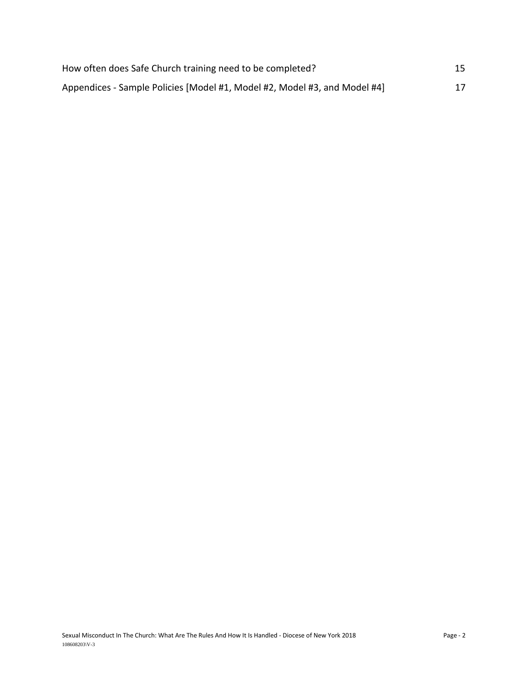| How often does Safe Church training need to be completed?                 | 15 |
|---------------------------------------------------------------------------|----|
| Appendices - Sample Policies [Model #1, Model #2, Model #3, and Model #4] | 17 |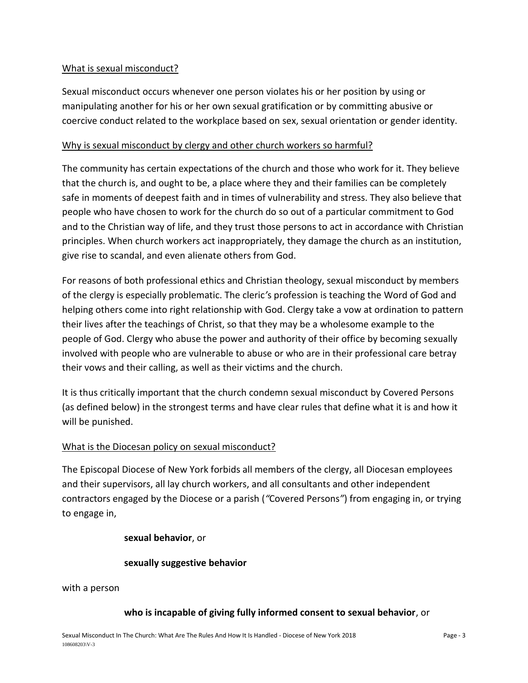## <span id="page-2-0"></span>What is sexual misconduct?

Sexual misconduct occurs whenever one person violates his or her position by using or manipulating another for his or her own sexual gratification or by committing abusive or coercive conduct related to the workplace based on sex, sexual orientation or gender identity.

#### <span id="page-2-1"></span>Why is sexual misconduct by clergy and other church workers so harmful?

The community has certain expectations of the church and those who work for it. They believe that the church is, and ought to be, a place where they and their families can be completely safe in moments of deepest faith and in times of vulnerability and stress. They also believe that people who have chosen to work for the church do so out of a particular commitment to God and to the Christian way of life, and they trust those persons to act in accordance with Christian principles. When church workers act inappropriately, they damage the church as an institution, give rise to scandal, and even alienate others from God.

For reasons of both professional ethics and Christian theology, sexual misconduct by members of the clergy is especially problematic. The cleric*'*s profession is teaching the Word of God and helping others come into right relationship with God. Clergy take a vow at ordination to pattern their lives after the teachings of Christ, so that they may be a wholesome example to the people of God. Clergy who abuse the power and authority of their office by becoming sexually involved with people who are vulnerable to abuse or who are in their professional care betray their vows and their calling, as well as their victims and the church.

It is thus critically important that the church condemn sexual misconduct by Covered Persons (as defined below) in the strongest terms and have clear rules that define what it is and how it will be punished.

#### <span id="page-2-2"></span>What is the Diocesan policy on sexual misconduct?

The Episcopal Diocese of New York forbids all members of the clergy, all Diocesan employees and their supervisors, all lay church workers, and all consultants and other independent contractors engaged by the Diocese or a parish (*"*Covered Persons*"*) from engaging in, or trying to engage in,

#### **sexual behavior**, or

#### **sexually suggestive behavior**

#### with a person

#### **who is incapable of giving fully informed consent to sexual behavior**, or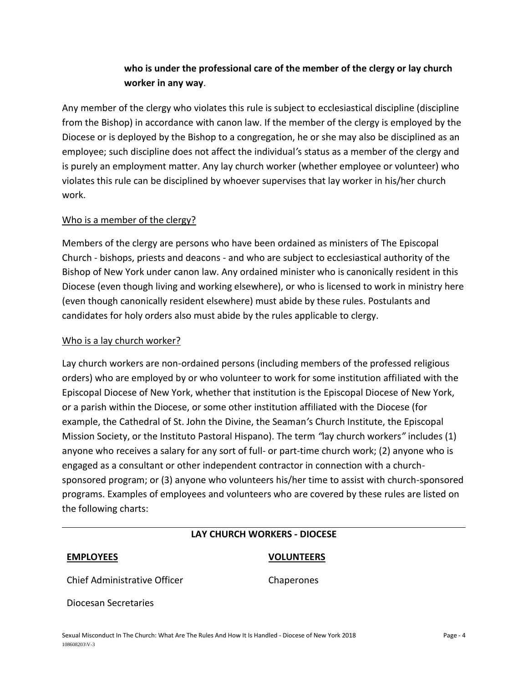# **who is under the professional care of the member of the clergy or lay church worker in any way**.

Any member of the clergy who violates this rule is subject to ecclesiastical discipline (discipline from the Bishop) in accordance with canon law. If the member of the clergy is employed by the Diocese or is deployed by the Bishop to a congregation, he or she may also be disciplined as an employee; such discipline does not affect the individual*'*s status as a member of the clergy and is purely an employment matter. Any lay church worker (whether employee or volunteer) who violates this rule can be disciplined by whoever supervises that lay worker in his/her church work.

#### <span id="page-3-0"></span>Who is a member of the clergy?

Members of the clergy are persons who have been ordained as ministers of The Episcopal Church - bishops, priests and deacons - and who are subject to ecclesiastical authority of the Bishop of New York under canon law. Any ordained minister who is canonically resident in this Diocese (even though living and working elsewhere), or who is licensed to work in ministry here (even though canonically resident elsewhere) must abide by these rules. Postulants and candidates for holy orders also must abide by the rules applicable to clergy.

#### <span id="page-3-1"></span>Who is a lay church worker?

Lay church workers are non-ordained persons (including members of the professed religious orders) who are employed by or who volunteer to work for some institution affiliated with the Episcopal Diocese of New York, whether that institution is the Episcopal Diocese of New York, or a parish within the Diocese, or some other institution affiliated with the Diocese (for example, the Cathedral of St. John the Divine, the Seaman*'*s Church Institute, the Episcopal Mission Society, or the Instituto Pastoral Hispano). The term *"*lay church workers*"* includes (1) anyone who receives a salary for any sort of full- or part-time church work; (2) anyone who is engaged as a consultant or other independent contractor in connection with a churchsponsored program; or (3) anyone who volunteers his/her time to assist with church-sponsored programs. Examples of employees and volunteers who are covered by these rules are listed on the following charts:

#### **LAY CHURCH WORKERS - DIOCESE**

#### **EMPLOYEES VOLUNTEERS**

Chief Administrative Officer Chaperones

Diocesan Secretaries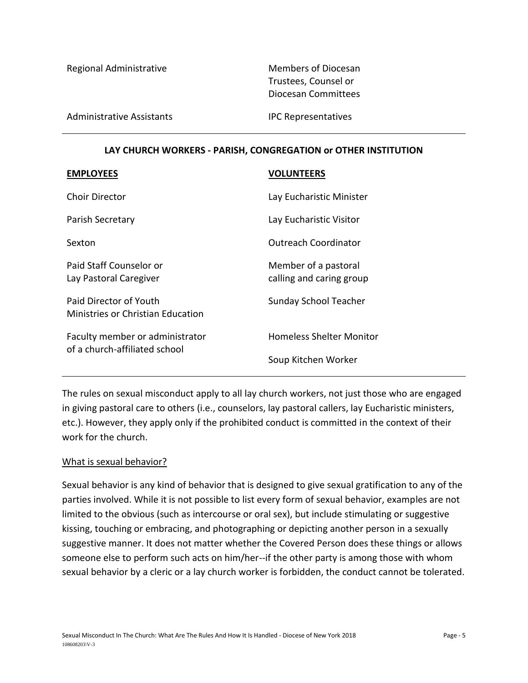Regional Administrative Members of Diocesan

Trustees, Counsel or Diocesan Committees

Administrative Assistants **IPC Representatives** 

#### **LAY CHURCH WORKERS - PARISH, CONGREGATION or OTHER INSTITUTION**

| <b>EMPLOYEES</b>                                                   | <b>VOLUNTEERS</b>                                |
|--------------------------------------------------------------------|--------------------------------------------------|
| <b>Choir Director</b>                                              | Lay Eucharistic Minister                         |
| Parish Secretary                                                   | Lay Eucharistic Visitor                          |
| Sexton                                                             | <b>Outreach Coordinator</b>                      |
| Paid Staff Counselor or<br>Lay Pastoral Caregiver                  | Member of a pastoral<br>calling and caring group |
| Paid Director of Youth<br><b>Ministries or Christian Education</b> | <b>Sunday School Teacher</b>                     |
| Faculty member or administrator<br>of a church-affiliated school   | <b>Homeless Shelter Monitor</b>                  |
|                                                                    | Soup Kitchen Worker                              |

The rules on sexual misconduct apply to all lay church workers, not just those who are engaged in giving pastoral care to others (i.e., counselors, lay pastoral callers, lay Eucharistic ministers, etc.). However, they apply only if the prohibited conduct is committed in the context of their work for the church.

#### <span id="page-4-0"></span>What is sexual behavior?

Sexual behavior is any kind of behavior that is designed to give sexual gratification to any of the parties involved. While it is not possible to list every form of sexual behavior, examples are not limited to the obvious (such as intercourse or oral sex), but include stimulating or suggestive kissing, touching or embracing, and photographing or depicting another person in a sexually suggestive manner. It does not matter whether the Covered Person does these things or allows someone else to perform such acts on him/her--if the other party is among those with whom sexual behavior by a cleric or a lay church worker is forbidden, the conduct cannot be tolerated.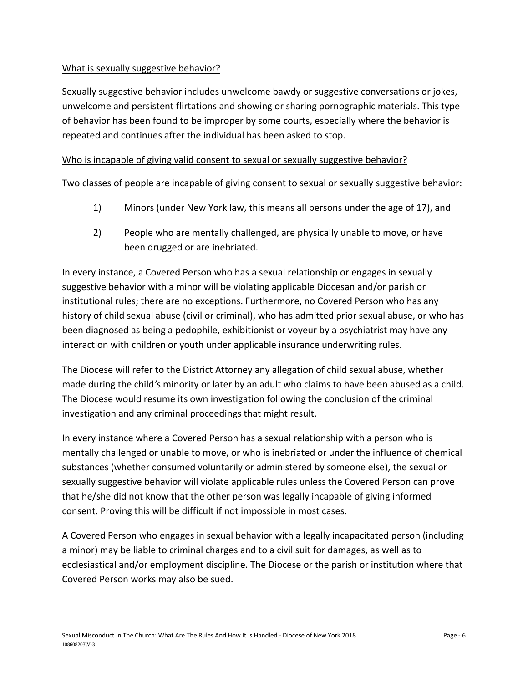## <span id="page-5-0"></span>What is sexually suggestive behavior?

Sexually suggestive behavior includes unwelcome bawdy or suggestive conversations or jokes, unwelcome and persistent flirtations and showing or sharing pornographic materials. This type of behavior has been found to be improper by some courts, especially where the behavior is repeated and continues after the individual has been asked to stop.

#### <span id="page-5-1"></span>Who is incapable of giving valid consent to sexual or sexually suggestive behavior?

Two classes of people are incapable of giving consent to sexual or sexually suggestive behavior:

- 1) Minors (under New York law, this means all persons under the age of 17), and
- 2) People who are mentally challenged, are physically unable to move, or have been drugged or are inebriated.

In every instance, a Covered Person who has a sexual relationship or engages in sexually suggestive behavior with a minor will be violating applicable Diocesan and/or parish or institutional rules; there are no exceptions. Furthermore, no Covered Person who has any history of child sexual abuse (civil or criminal), who has admitted prior sexual abuse, or who has been diagnosed as being a pedophile, exhibitionist or voyeur by a psychiatrist may have any interaction with children or youth under applicable insurance underwriting rules.

The Diocese will refer to the District Attorney any allegation of child sexual abuse, whether made during the child*'*s minority or later by an adult who claims to have been abused as a child. The Diocese would resume its own investigation following the conclusion of the criminal investigation and any criminal proceedings that might result.

In every instance where a Covered Person has a sexual relationship with a person who is mentally challenged or unable to move, or who is inebriated or under the influence of chemical substances (whether consumed voluntarily or administered by someone else), the sexual or sexually suggestive behavior will violate applicable rules unless the Covered Person can prove that he/she did not know that the other person was legally incapable of giving informed consent. Proving this will be difficult if not impossible in most cases.

A Covered Person who engages in sexual behavior with a legally incapacitated person (including a minor) may be liable to criminal charges and to a civil suit for damages, as well as to ecclesiastical and/or employment discipline. The Diocese or the parish or institution where that Covered Person works may also be sued.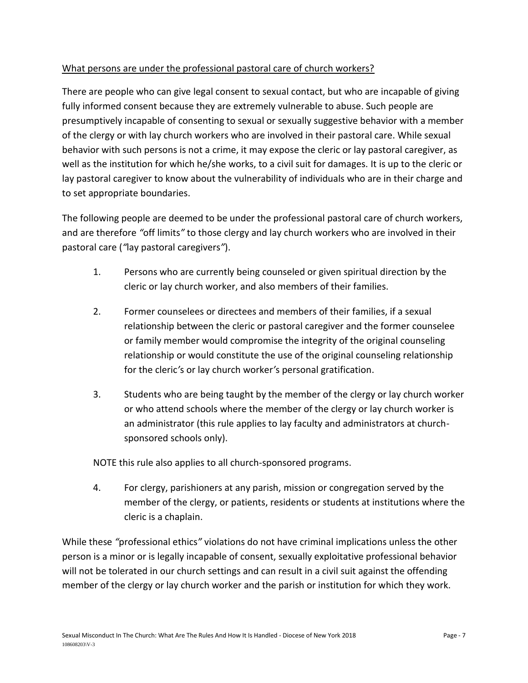# <span id="page-6-0"></span>What persons are under the professional pastoral care of church workers?

There are people who can give legal consent to sexual contact, but who are incapable of giving fully informed consent because they are extremely vulnerable to abuse. Such people are presumptively incapable of consenting to sexual or sexually suggestive behavior with a member of the clergy or with lay church workers who are involved in their pastoral care. While sexual behavior with such persons is not a crime, it may expose the cleric or lay pastoral caregiver, as well as the institution for which he/she works, to a civil suit for damages. It is up to the cleric or lay pastoral caregiver to know about the vulnerability of individuals who are in their charge and to set appropriate boundaries.

The following people are deemed to be under the professional pastoral care of church workers, and are therefore *"*off limits*"* to those clergy and lay church workers who are involved in their pastoral care (*"*lay pastoral caregivers*"*).

- 1. Persons who are currently being counseled or given spiritual direction by the cleric or lay church worker, and also members of their families.
- 2. Former counselees or directees and members of their families, if a sexual relationship between the cleric or pastoral caregiver and the former counselee or family member would compromise the integrity of the original counseling relationship or would constitute the use of the original counseling relationship for the cleric*'*s or lay church worker*'*s personal gratification.
- 3. Students who are being taught by the member of the clergy or lay church worker or who attend schools where the member of the clergy or lay church worker is an administrator (this rule applies to lay faculty and administrators at churchsponsored schools only).

NOTE this rule also applies to all church-sponsored programs.

4. For clergy, parishioners at any parish, mission or congregation served by the member of the clergy, or patients, residents or students at institutions where the cleric is a chaplain.

While these *"*professional ethics*"* violations do not have criminal implications unless the other person is a minor or is legally incapable of consent, sexually exploitative professional behavior will not be tolerated in our church settings and can result in a civil suit against the offending member of the clergy or lay church worker and the parish or institution for which they work.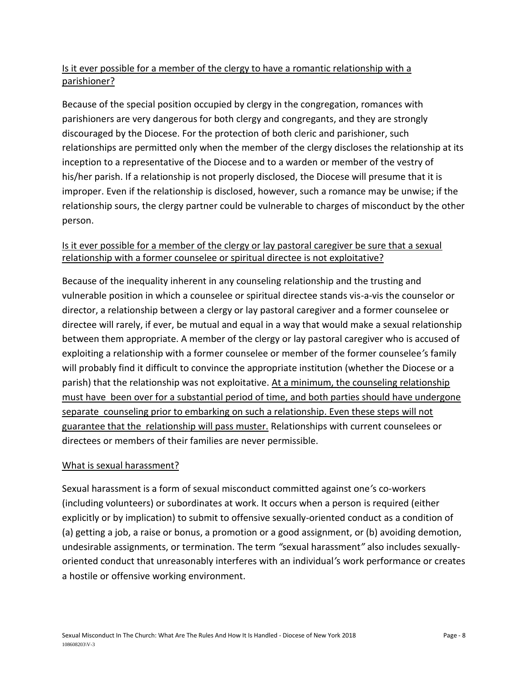# <span id="page-7-0"></span>Is it ever possible for a member of the clergy to have a romantic relationship with a parishioner?

Because of the special position occupied by clergy in the congregation, romances with parishioners are very dangerous for both clergy and congregants, and they are strongly discouraged by the Diocese. For the protection of both cleric and parishioner, such relationships are permitted only when the member of the clergy discloses the relationship at its inception to a representative of the Diocese and to a warden or member of the vestry of his/her parish. If a relationship is not properly disclosed, the Diocese will presume that it is improper. Even if the relationship is disclosed, however, such a romance may be unwise; if the relationship sours, the clergy partner could be vulnerable to charges of misconduct by the other person.

# <span id="page-7-1"></span>Is it ever possible for a member of the clergy or lay pastoral caregiver be sure that a sexual relationship with a former counselee or spiritual directee is not exploitative?

Because of the inequality inherent in any counseling relationship and the trusting and vulnerable position in which a counselee or spiritual directee stands vis-a-vis the counselor or director, a relationship between a clergy or lay pastoral caregiver and a former counselee or directee will rarely, if ever, be mutual and equal in a way that would make a sexual relationship between them appropriate. A member of the clergy or lay pastoral caregiver who is accused of exploiting a relationship with a former counselee or member of the former counselee*'*s family will probably find it difficult to convince the appropriate institution (whether the Diocese or a parish) that the relationship was not exploitative. At a minimum, the counseling relationship must have been over for a substantial period of time, and both parties should have undergone separate counseling prior to embarking on such a relationship. Even these steps will not guarantee that the relationship will pass muster. Relationships with current counselees or directees or members of their families are never permissible.

# <span id="page-7-2"></span>What is sexual harassment?

Sexual harassment is a form of sexual misconduct committed against one*'*s co-workers (including volunteers) or subordinates at work. It occurs when a person is required (either explicitly or by implication) to submit to offensive sexually-oriented conduct as a condition of (a) getting a job, a raise or bonus, a promotion or a good assignment, or (b) avoiding demotion, undesirable assignments, or termination. The term *"*sexual harassment*"* also includes sexuallyoriented conduct that unreasonably interferes with an individual*'*s work performance or creates a hostile or offensive working environment.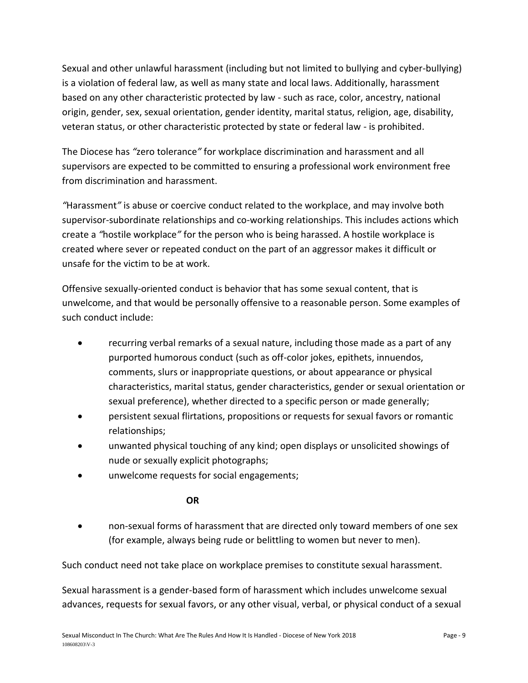Sexual and other unlawful harassment (including but not limited to bullying and cyber-bullying) is a violation of federal law, as well as many state and local laws. Additionally, harassment based on any other characteristic protected by law - such as race, color, ancestry, national origin, gender, sex, sexual orientation, gender identity, marital status, religion, age, disability, veteran status, or other characteristic protected by state or federal law - is prohibited.

The Diocese has *"*zero tolerance*"* for workplace discrimination and harassment and all supervisors are expected to be committed to ensuring a professional work environment free from discrimination and harassment.

*"*Harassment*"* is abuse or coercive conduct related to the workplace, and may involve both supervisor-subordinate relationships and co-working relationships. This includes actions which create a *"*hostile workplace*"* for the person who is being harassed. A hostile workplace is created where sever or repeated conduct on the part of an aggressor makes it difficult or unsafe for the victim to be at work.

Offensive sexually-oriented conduct is behavior that has some sexual content, that is unwelcome, and that would be personally offensive to a reasonable person. Some examples of such conduct include:

- recurring verbal remarks of a sexual nature, including those made as a part of any purported humorous conduct (such as off-color jokes, epithets, innuendos, comments, slurs or inappropriate questions, or about appearance or physical characteristics, marital status, gender characteristics, gender or sexual orientation or sexual preference), whether directed to a specific person or made generally;
- persistent sexual flirtations, propositions or requests for sexual favors or romantic relationships;
- unwanted physical touching of any kind; open displays or unsolicited showings of nude or sexually explicit photographs;
- unwelcome requests for social engagements;

# **OR**

• non-sexual forms of harassment that are directed only toward members of one sex (for example, always being rude or belittling to women but never to men).

Such conduct need not take place on workplace premises to constitute sexual harassment.

Sexual harassment is a gender-based form of harassment which includes unwelcome sexual advances, requests for sexual favors, or any other visual, verbal, or physical conduct of a sexual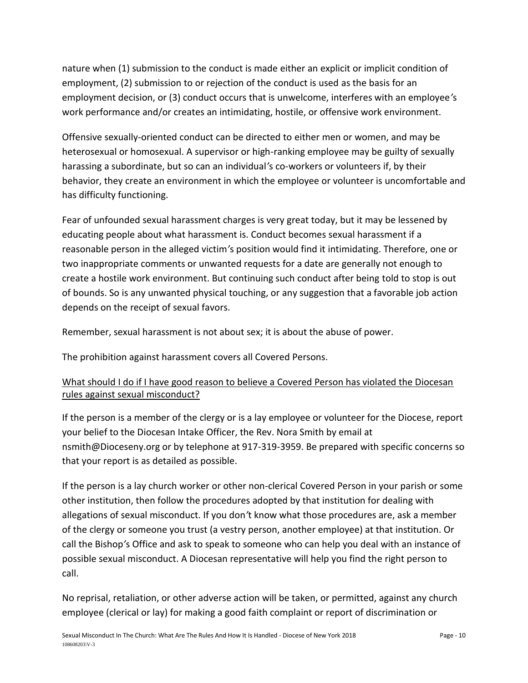nature when (1) submission to the conduct is made either an explicit or implicit condition of employment, (2) submission to or rejection of the conduct is used as the basis for an employment decision, or (3) conduct occurs that is unwelcome, interferes with an employee*'*s work performance and/or creates an intimidating, hostile, or offensive work environment.

Offensive sexually-oriented conduct can be directed to either men or women, and may be heterosexual or homosexual. A supervisor or high-ranking employee may be guilty of sexually harassing a subordinate, but so can an individual*'*s co-workers or volunteers if, by their behavior, they create an environment in which the employee or volunteer is uncomfortable and has difficulty functioning.

Fear of unfounded sexual harassment charges is very great today, but it may be lessened by educating people about what harassment is. Conduct becomes sexual harassment if a reasonable person in the alleged victim*'*s position would find it intimidating. Therefore, one or two inappropriate comments or unwanted requests for a date are generally not enough to create a hostile work environment. But continuing such conduct after being told to stop is out of bounds. So is any unwanted physical touching, or any suggestion that a favorable job action depends on the receipt of sexual favors.

Remember, sexual harassment is not about sex; it is about the abuse of power.

The prohibition against harassment covers all Covered Persons.

# <span id="page-9-0"></span>What should I do if I have good reason to believe a Covered Person has violated the Diocesan rules against sexual misconduct?

If the person is a member of the clergy or is a lay employee or volunteer for the Diocese, report your belief to the Diocesan Intake Officer, the Rev. Nora Smith by email at nsmith@Dioceseny.org or by telephone at 917-319-3959. Be prepared with specific concerns so that your report is as detailed as possible.

If the person is a lay church worker or other non-clerical Covered Person in your parish or some other institution, then follow the procedures adopted by that institution for dealing with allegations of sexual misconduct. If you don*'*t know what those procedures are, ask a member of the clergy or someone you trust (a vestry person, another employee) at that institution. Or call the Bishop*'*s Office and ask to speak to someone who can help you deal with an instance of possible sexual misconduct. A Diocesan representative will help you find the right person to call.

No reprisal, retaliation, or other adverse action will be taken, or permitted, against any church employee (clerical or lay) for making a good faith complaint or report of discrimination or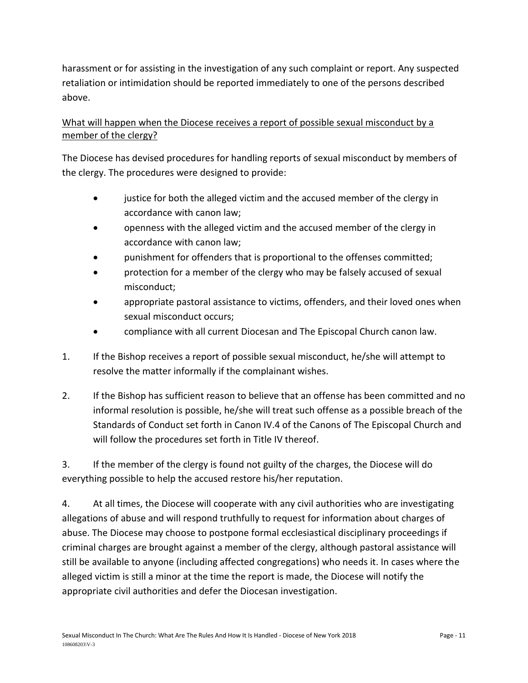harassment or for assisting in the investigation of any such complaint or report. Any suspected retaliation or intimidation should be reported immediately to one of the persons described above.

# <span id="page-10-0"></span>What will happen when the Diocese receives a report of possible sexual misconduct by a member of the clergy?

The Diocese has devised procedures for handling reports of sexual misconduct by members of the clergy. The procedures were designed to provide:

- justice for both the alleged victim and the accused member of the clergy in accordance with canon law;
- openness with the alleged victim and the accused member of the clergy in accordance with canon law;
- punishment for offenders that is proportional to the offenses committed;
- protection for a member of the clergy who may be falsely accused of sexual misconduct;
- appropriate pastoral assistance to victims, offenders, and their loved ones when sexual misconduct occurs;
- compliance with all current Diocesan and The Episcopal Church canon law.
- 1. If the Bishop receives a report of possible sexual misconduct, he/she will attempt to resolve the matter informally if the complainant wishes.
- 2. If the Bishop has sufficient reason to believe that an offense has been committed and no informal resolution is possible, he/she will treat such offense as a possible breach of the Standards of Conduct set forth in Canon IV.4 of the Canons of The Episcopal Church and will follow the procedures set forth in Title IV thereof.

3. If the member of the clergy is found not guilty of the charges, the Diocese will do everything possible to help the accused restore his/her reputation.

4. At all times, the Diocese will cooperate with any civil authorities who are investigating allegations of abuse and will respond truthfully to request for information about charges of abuse. The Diocese may choose to postpone formal ecclesiastical disciplinary proceedings if criminal charges are brought against a member of the clergy, although pastoral assistance will still be available to anyone (including affected congregations) who needs it. In cases where the alleged victim is still a minor at the time the report is made, the Diocese will notify the appropriate civil authorities and defer the Diocesan investigation.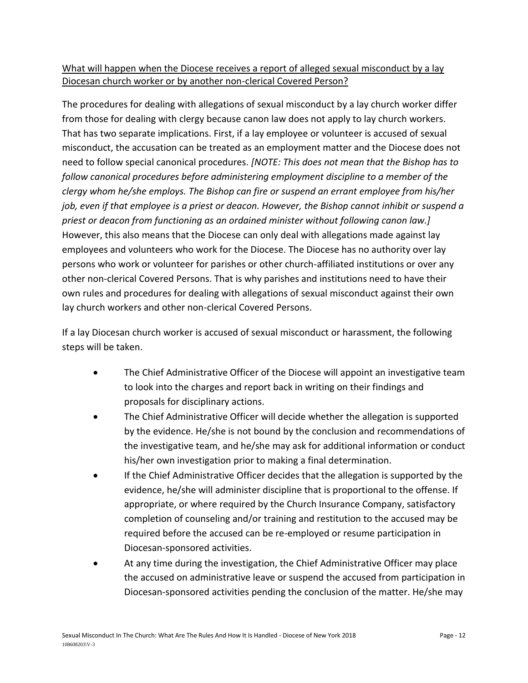# <span id="page-11-0"></span>What will happen when the Diocese receives a report of alleged sexual misconduct by a lay Diocesan church worker or by another non-clerical Covered Person?

The procedures for dealing with allegations of sexual misconduct by a lay church worker differ from those for dealing with clergy because canon law does not apply to lay church workers. That has two separate implications. First, if a lay employee or volunteer is accused of sexual misconduct, the accusation can be treated as an employment matter and the Diocese does not need to follow special canonical procedures. *[NOTE: This does not mean that the Bishop has to follow canonical procedures before administering employment discipline to a member of the clergy whom he/she employs. The Bishop can fire or suspend an errant employee from his/her job, even if that employee is a priest or deacon. However, the Bishop cannot inhibit or suspend a priest or deacon from functioning as an ordained minister without following canon law.]* However, this also means that the Diocese can only deal with allegations made against lay employees and volunteers who work for the Diocese. The Diocese has no authority over lay persons who work or volunteer for parishes or other church-affiliated institutions or over any other non-clerical Covered Persons. That is why parishes and institutions need to have their own rules and procedures for dealing with allegations of sexual misconduct against their own lay church workers and other non-clerical Covered Persons.

If a lay Diocesan church worker is accused of sexual misconduct or harassment, the following steps will be taken.

- The Chief Administrative Officer of the Diocese will appoint an investigative team to look into the charges and report back in writing on their findings and proposals for disciplinary actions.
- The Chief Administrative Officer will decide whether the allegation is supported by the evidence. He/she is not bound by the conclusion and recommendations of the investigative team, and he/she may ask for additional information or conduct his/her own investigation prior to making a final determination.
- If the Chief Administrative Officer decides that the allegation is supported by the evidence, he/she will administer discipline that is proportional to the offense. If appropriate, or where required by the Church Insurance Company, satisfactory completion of counseling and/or training and restitution to the accused may be required before the accused can be re-employed or resume participation in Diocesan-sponsored activities.
- At any time during the investigation, the Chief Administrative Officer may place the accused on administrative leave or suspend the accused from participation in Diocesan-sponsored activities pending the conclusion of the matter. He/she may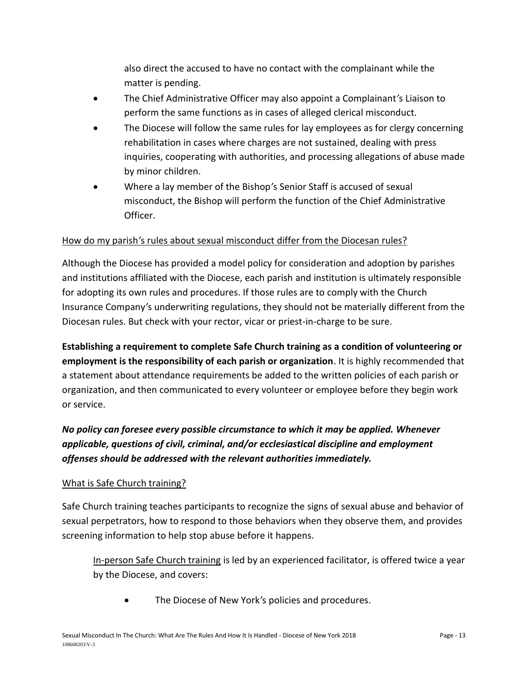also direct the accused to have no contact with the complainant while the matter is pending.

- The Chief Administrative Officer may also appoint a Complainant*'*s Liaison to perform the same functions as in cases of alleged clerical misconduct.
- The Diocese will follow the same rules for lay employees as for clergy concerning rehabilitation in cases where charges are not sustained, dealing with press inquiries, cooperating with authorities, and processing allegations of abuse made by minor children.
- Where a lay member of the Bishop*'*s Senior Staff is accused of sexual misconduct, the Bishop will perform the function of the Chief Administrative Officer.

# <span id="page-12-0"></span>How do my parish*'*s rules about sexual misconduct differ from the Diocesan rules?

Although the Diocese has provided a model policy for consideration and adoption by parishes and institutions affiliated with the Diocese, each parish and institution is ultimately responsible for adopting its own rules and procedures. If those rules are to comply with the Church Insurance Company*'*s underwriting regulations, they should not be materially different from the Diocesan rules. But check with your rector, vicar or priest-in-charge to be sure.

**Establishing a requirement to complete Safe Church training as a condition of volunteering or employment is the responsibility of each parish or organization**. It is highly recommended that a statement about attendance requirements be added to the written policies of each parish or organization, and then communicated to every volunteer or employee before they begin work or service.

*No policy can foresee every possible circumstance to which it may be applied. Whenever applicable, questions of civil, criminal, and/or ecclesiastical discipline and employment offenses should be addressed with the relevant authorities immediately.*

# <span id="page-12-1"></span>What is Safe Church training?

Safe Church training teaches participants to recognize the signs of sexual abuse and behavior of sexual perpetrators, how to respond to those behaviors when they observe them, and provides screening information to help stop abuse before it happens.

In-person Safe Church training is led by an experienced facilitator, is offered twice a year by the Diocese, and covers:

• The Diocese of New York*'*s policies and procedures.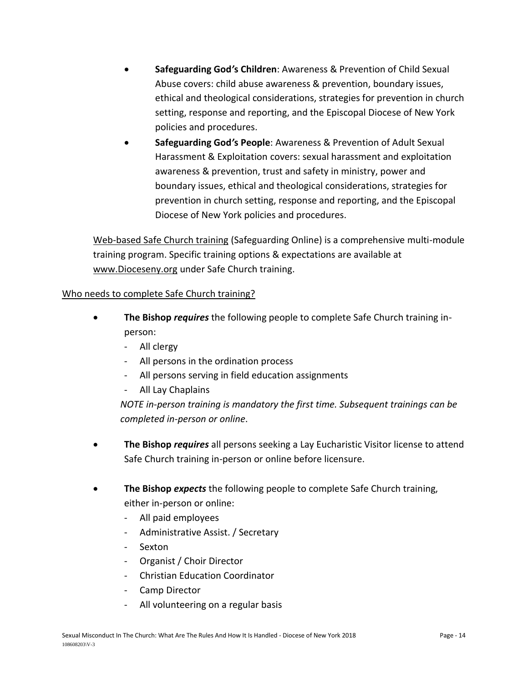- **Safeguarding God***'***s Children**: Awareness & Prevention of Child Sexual Abuse covers: child abuse awareness & prevention, boundary issues, ethical and theological considerations, strategies for prevention in church setting, response and reporting, and the Episcopal Diocese of New York policies and procedures.
- **Safeguarding God***'***s People**: Awareness & Prevention of Adult Sexual Harassment & Exploitation covers: sexual harassment and exploitation awareness & prevention, trust and safety in ministry, power and boundary issues, ethical and theological considerations, strategies for prevention in church setting, response and reporting, and the Episcopal Diocese of New York policies and procedures.

Web-based Safe Church training (Safeguarding Online) is a comprehensive multi-module training program. Specific training options & expectations are available at www.Dioceseny.org under Safe Church training.

# <span id="page-13-0"></span>Who needs to complete Safe Church training?

- **The Bishop** *requires* the following people to complete Safe Church training inperson:
	- All clergy
	- All persons in the ordination process
	- All persons serving in field education assignments
	- All Lay Chaplains

*NOTE in-person training is mandatory the first time. Subsequent trainings can be completed in-person or online*.

- **The Bishop** *requires* all persons seeking a Lay Eucharistic Visitor license to attend Safe Church training in-person or online before licensure.
- **The Bishop** *expects* the following people to complete Safe Church training, either in-person or online:
	- All paid employees
	- Administrative Assist. / Secretary
	- **Sexton**
	- Organist / Choir Director
	- Christian Education Coordinator
	- Camp Director
	- All volunteering on a regular basis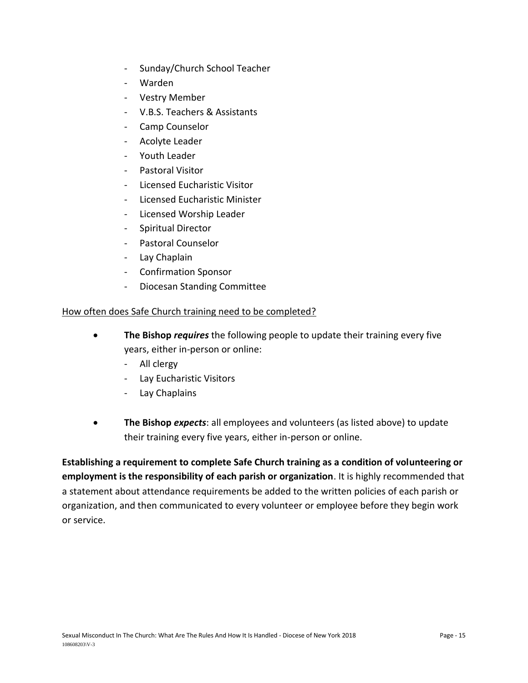- Sunday/Church School Teacher
- Warden
- Vestry Member
- V.B.S. Teachers & Assistants
- Camp Counselor
- Acolyte Leader
- Youth Leader
- Pastoral Visitor
- Licensed Eucharistic Visitor
- Licensed Eucharistic Minister
- Licensed Worship Leader
- Spiritual Director
- Pastoral Counselor
- Lay Chaplain
- Confirmation Sponsor
- Diocesan Standing Committee

#### <span id="page-14-0"></span>How often does Safe Church training need to be completed?

- **The Bishop** *requires* the following people to update their training every five years, either in-person or online:
	- All clergy
	- Lay Eucharistic Visitors
	- Lay Chaplains
- **The Bishop** *expects*: all employees and volunteers (as listed above) to update their training every five years, either in-person or online.

**Establishing a requirement to complete Safe Church training as a condition of volunteering or employment is the responsibility of each parish or organization**. It is highly recommended that a statement about attendance requirements be added to the written policies of each parish or organization, and then communicated to every volunteer or employee before they begin work or service.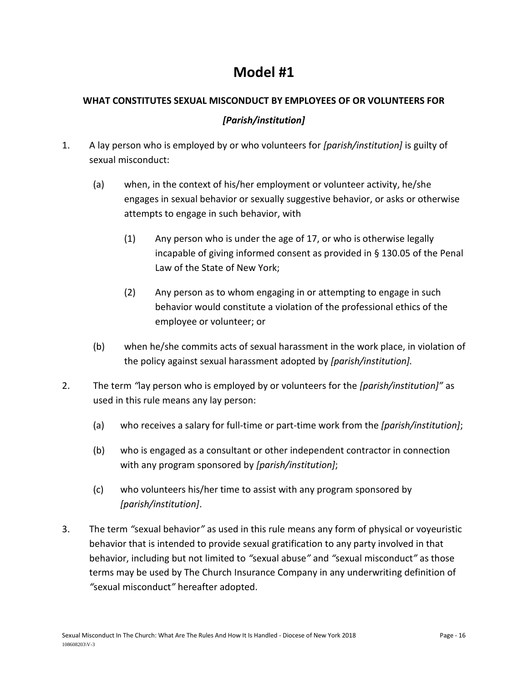# **Model #1**

# **WHAT CONSTITUTES SEXUAL MISCONDUCT BY EMPLOYEES OF OR VOLUNTEERS FOR**

# *[Parish/institution]*

- 1. A lay person who is employed by or who volunteers for *[parish/institution]* is guilty of sexual misconduct:
	- (a) when, in the context of his/her employment or volunteer activity, he/she engages in sexual behavior or sexually suggestive behavior, or asks or otherwise attempts to engage in such behavior, with
		- (1) Any person who is under the age of 17, or who is otherwise legally incapable of giving informed consent as provided in § 130.05 of the Penal Law of the State of New York;
		- (2) Any person as to whom engaging in or attempting to engage in such behavior would constitute a violation of the professional ethics of the employee or volunteer; or
	- (b) when he/she commits acts of sexual harassment in the work place, in violation of the policy against sexual harassment adopted by *[parish/institution].*
- 2. The term *"*lay person who is employed by or volunteers for the *[parish/institution]"* as used in this rule means any lay person:
	- (a) who receives a salary for full-time or part-time work from the *[parish/institution]*;
	- (b) who is engaged as a consultant or other independent contractor in connection with any program sponsored by *[parish/institution]*;
	- (c) who volunteers his/her time to assist with any program sponsored by *[parish/institution]*.
- 3. The term *"*sexual behavior*"* as used in this rule means any form of physical or voyeuristic behavior that is intended to provide sexual gratification to any party involved in that behavior, including but not limited to *"*sexual abuse*"* and *"*sexual misconduct*"* as those terms may be used by The Church Insurance Company in any underwriting definition of *"*sexual misconduct*"* hereafter adopted.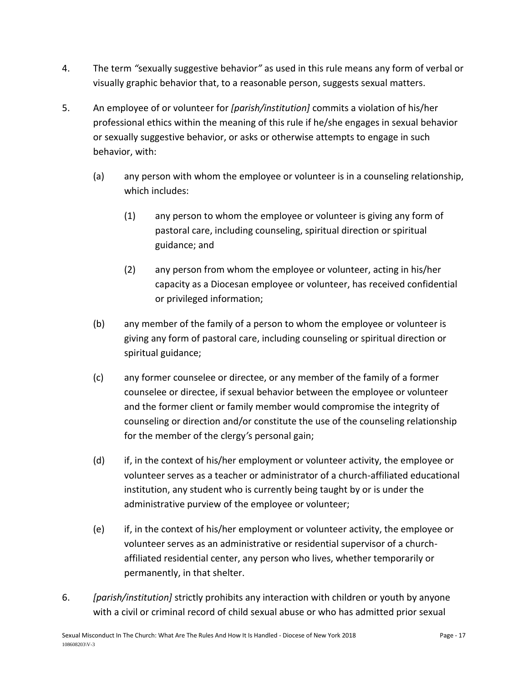- 4. The term *"*sexually suggestive behavior*"* as used in this rule means any form of verbal or visually graphic behavior that, to a reasonable person, suggests sexual matters.
- 5. An employee of or volunteer for *[parish/institution]* commits a violation of his/her professional ethics within the meaning of this rule if he/she engages in sexual behavior or sexually suggestive behavior, or asks or otherwise attempts to engage in such behavior, with:
	- (a) any person with whom the employee or volunteer is in a counseling relationship, which includes:
		- (1) any person to whom the employee or volunteer is giving any form of pastoral care, including counseling, spiritual direction or spiritual guidance; and
		- (2) any person from whom the employee or volunteer, acting in his/her capacity as a Diocesan employee or volunteer, has received confidential or privileged information;
	- (b) any member of the family of a person to whom the employee or volunteer is giving any form of pastoral care, including counseling or spiritual direction or spiritual guidance;
	- (c) any former counselee or directee, or any member of the family of a former counselee or directee, if sexual behavior between the employee or volunteer and the former client or family member would compromise the integrity of counseling or direction and/or constitute the use of the counseling relationship for the member of the clergy*'*s personal gain;
	- (d) if, in the context of his/her employment or volunteer activity, the employee or volunteer serves as a teacher or administrator of a church-affiliated educational institution, any student who is currently being taught by or is under the administrative purview of the employee or volunteer;
	- (e) if, in the context of his/her employment or volunteer activity, the employee or volunteer serves as an administrative or residential supervisor of a churchaffiliated residential center, any person who lives, whether temporarily or permanently, in that shelter.
- 6. *[parish/institution]* strictly prohibits any interaction with children or youth by anyone with a civil or criminal record of child sexual abuse or who has admitted prior sexual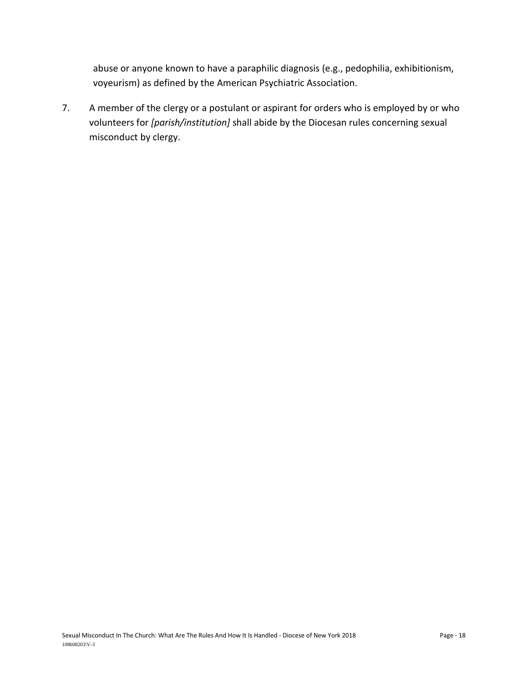abuse or anyone known to have a paraphilic diagnosis (e.g., pedophilia, exhibitionism, voyeurism) as defined by the American Psychiatric Association.

7. A member of the clergy or a postulant or aspirant for orders who is employed by or who volunteers for *[parish/institution]* shall abide by the Diocesan rules concerning sexual misconduct by clergy.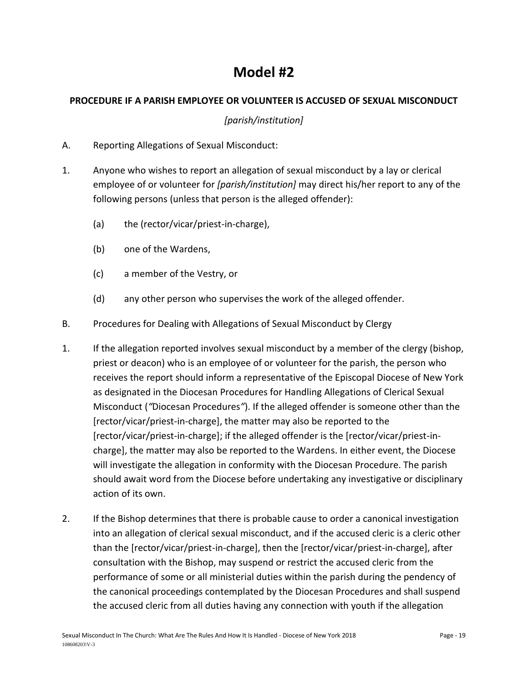# **Model #2**

## **PROCEDURE IF A PARISH EMPLOYEE OR VOLUNTEER IS ACCUSED OF SEXUAL MISCONDUCT**

## *[parish/institution]*

- A. Reporting Allegations of Sexual Misconduct:
- 1. Anyone who wishes to report an allegation of sexual misconduct by a lay or clerical employee of or volunteer for *[parish/institution]* may direct his/her report to any of the following persons (unless that person is the alleged offender):
	- (a) the (rector/vicar/priest-in-charge),
	- (b) one of the Wardens,
	- (c) a member of the Vestry, or
	- (d) any other person who supervises the work of the alleged offender.
- B. Procedures for Dealing with Allegations of Sexual Misconduct by Clergy
- 1. If the allegation reported involves sexual misconduct by a member of the clergy (bishop, priest or deacon) who is an employee of or volunteer for the parish, the person who receives the report should inform a representative of the Episcopal Diocese of New York as designated in the Diocesan Procedures for Handling Allegations of Clerical Sexual Misconduct (*"*Diocesan Procedures*"*). If the alleged offender is someone other than the [rector/vicar/priest-in-charge], the matter may also be reported to the [rector/vicar/priest-in-charge]; if the alleged offender is the [rector/vicar/priest-incharge], the matter may also be reported to the Wardens. In either event, the Diocese will investigate the allegation in conformity with the Diocesan Procedure. The parish should await word from the Diocese before undertaking any investigative or disciplinary action of its own.
- 2. If the Bishop determines that there is probable cause to order a canonical investigation into an allegation of clerical sexual misconduct, and if the accused cleric is a cleric other than the [rector/vicar/priest-in-charge], then the [rector/vicar/priest-in-charge], after consultation with the Bishop, may suspend or restrict the accused cleric from the performance of some or all ministerial duties within the parish during the pendency of the canonical proceedings contemplated by the Diocesan Procedures and shall suspend the accused cleric from all duties having any connection with youth if the allegation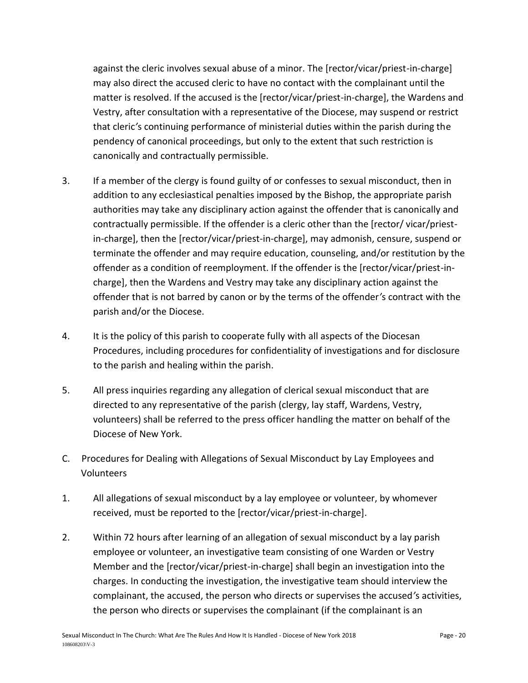against the cleric involves sexual abuse of a minor. The [rector/vicar/priest-in-charge] may also direct the accused cleric to have no contact with the complainant until the matter is resolved. If the accused is the [rector/vicar/priest-in-charge], the Wardens and Vestry, after consultation with a representative of the Diocese, may suspend or restrict that cleric*'*s continuing performance of ministerial duties within the parish during the pendency of canonical proceedings, but only to the extent that such restriction is canonically and contractually permissible.

- 3. If a member of the clergy is found guilty of or confesses to sexual misconduct, then in addition to any ecclesiastical penalties imposed by the Bishop, the appropriate parish authorities may take any disciplinary action against the offender that is canonically and contractually permissible. If the offender is a cleric other than the [rector/ vicar/priestin-charge], then the [rector/vicar/priest-in-charge], may admonish, censure, suspend or terminate the offender and may require education, counseling, and/or restitution by the offender as a condition of reemployment. If the offender is the [rector/vicar/priest-incharge], then the Wardens and Vestry may take any disciplinary action against the offender that is not barred by canon or by the terms of the offender*'*s contract with the parish and/or the Diocese.
- 4. It is the policy of this parish to cooperate fully with all aspects of the Diocesan Procedures, including procedures for confidentiality of investigations and for disclosure to the parish and healing within the parish.
- 5. All press inquiries regarding any allegation of clerical sexual misconduct that are directed to any representative of the parish (clergy, lay staff, Wardens, Vestry, volunteers) shall be referred to the press officer handling the matter on behalf of the Diocese of New York.
- C. Procedures for Dealing with Allegations of Sexual Misconduct by Lay Employees and Volunteers
- 1. All allegations of sexual misconduct by a lay employee or volunteer, by whomever received, must be reported to the [rector/vicar/priest-in-charge].
- 2. Within 72 hours after learning of an allegation of sexual misconduct by a lay parish employee or volunteer, an investigative team consisting of one Warden or Vestry Member and the [rector/vicar/priest-in-charge] shall begin an investigation into the charges. In conducting the investigation, the investigative team should interview the complainant, the accused, the person who directs or supervises the accused*'*s activities, the person who directs or supervises the complainant (if the complainant is an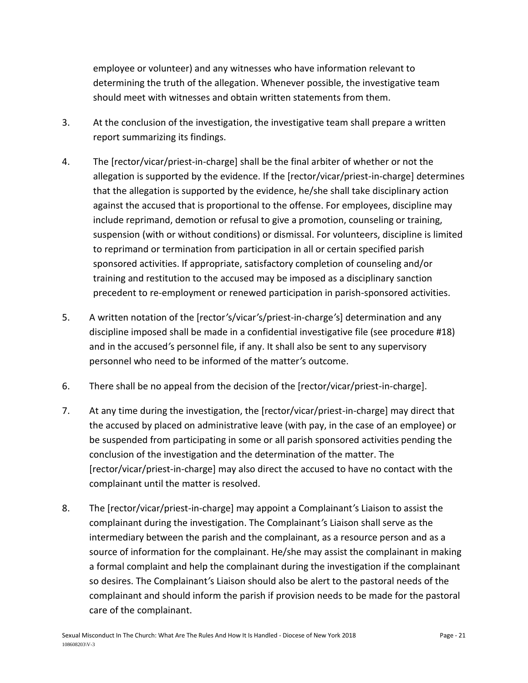employee or volunteer) and any witnesses who have information relevant to determining the truth of the allegation. Whenever possible, the investigative team should meet with witnesses and obtain written statements from them.

- 3. At the conclusion of the investigation, the investigative team shall prepare a written report summarizing its findings.
- 4. The [rector/vicar/priest-in-charge] shall be the final arbiter of whether or not the allegation is supported by the evidence. If the [rector/vicar/priest-in-charge] determines that the allegation is supported by the evidence, he/she shall take disciplinary action against the accused that is proportional to the offense. For employees, discipline may include reprimand, demotion or refusal to give a promotion, counseling or training, suspension (with or without conditions) or dismissal. For volunteers, discipline is limited to reprimand or termination from participation in all or certain specified parish sponsored activities. If appropriate, satisfactory completion of counseling and/or training and restitution to the accused may be imposed as a disciplinary sanction precedent to re-employment or renewed participation in parish-sponsored activities.
- 5. A written notation of the [rector*'*s/vicar*'*s/priest-in-charge*'*s] determination and any discipline imposed shall be made in a confidential investigative file (see procedure #18) and in the accused*'*s personnel file, if any. It shall also be sent to any supervisory personnel who need to be informed of the matter*'*s outcome.
- 6. There shall be no appeal from the decision of the [rector/vicar/priest-in-charge].
- 7. At any time during the investigation, the [rector/vicar/priest-in-charge] may direct that the accused by placed on administrative leave (with pay, in the case of an employee) or be suspended from participating in some or all parish sponsored activities pending the conclusion of the investigation and the determination of the matter. The [rector/vicar/priest-in-charge] may also direct the accused to have no contact with the complainant until the matter is resolved.
- 8. The [rector/vicar/priest-in-charge] may appoint a Complainant*'*s Liaison to assist the complainant during the investigation. The Complainant*'*s Liaison shall serve as the intermediary between the parish and the complainant, as a resource person and as a source of information for the complainant. He/she may assist the complainant in making a formal complaint and help the complainant during the investigation if the complainant so desires. The Complainant*'*s Liaison should also be alert to the pastoral needs of the complainant and should inform the parish if provision needs to be made for the pastoral care of the complainant.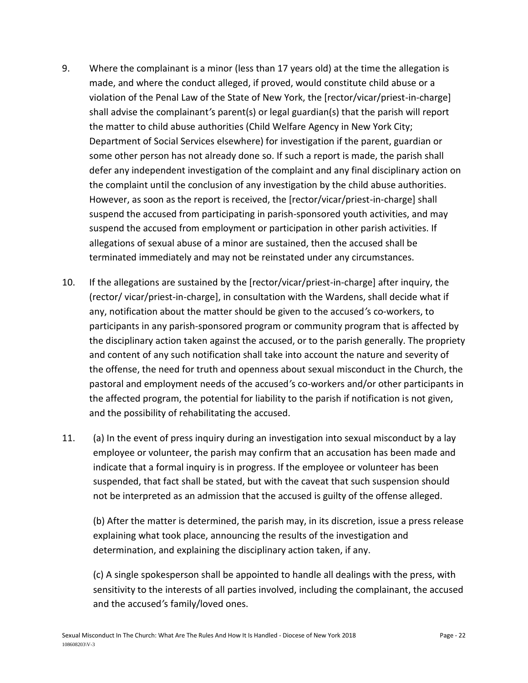- 9. Where the complainant is a minor (less than 17 years old) at the time the allegation is made, and where the conduct alleged, if proved, would constitute child abuse or a violation of the Penal Law of the State of New York, the [rector/vicar/priest-in-charge] shall advise the complainant*'*s parent(s) or legal guardian(s) that the parish will report the matter to child abuse authorities (Child Welfare Agency in New York City; Department of Social Services elsewhere) for investigation if the parent, guardian or some other person has not already done so. If such a report is made, the parish shall defer any independent investigation of the complaint and any final disciplinary action on the complaint until the conclusion of any investigation by the child abuse authorities. However, as soon as the report is received, the [rector/vicar/priest-in-charge] shall suspend the accused from participating in parish-sponsored youth activities, and may suspend the accused from employment or participation in other parish activities. If allegations of sexual abuse of a minor are sustained, then the accused shall be terminated immediately and may not be reinstated under any circumstances.
- 10. If the allegations are sustained by the [rector/vicar/priest-in-charge] after inquiry, the (rector/ vicar/priest-in-charge], in consultation with the Wardens, shall decide what if any, notification about the matter should be given to the accused*'*s co-workers, to participants in any parish-sponsored program or community program that is affected by the disciplinary action taken against the accused, or to the parish generally. The propriety and content of any such notification shall take into account the nature and severity of the offense, the need for truth and openness about sexual misconduct in the Church, the pastoral and employment needs of the accused*'*s co-workers and/or other participants in the affected program, the potential for liability to the parish if notification is not given, and the possibility of rehabilitating the accused.
- 11. (a) In the event of press inquiry during an investigation into sexual misconduct by a lay employee or volunteer, the parish may confirm that an accusation has been made and indicate that a formal inquiry is in progress. If the employee or volunteer has been suspended, that fact shall be stated, but with the caveat that such suspension should not be interpreted as an admission that the accused is guilty of the offense alleged.

(b) After the matter is determined, the parish may, in its discretion, issue a press release explaining what took place, announcing the results of the investigation and determination, and explaining the disciplinary action taken, if any.

(c) A single spokesperson shall be appointed to handle all dealings with the press, with sensitivity to the interests of all parties involved, including the complainant, the accused and the accused*'*s family/loved ones.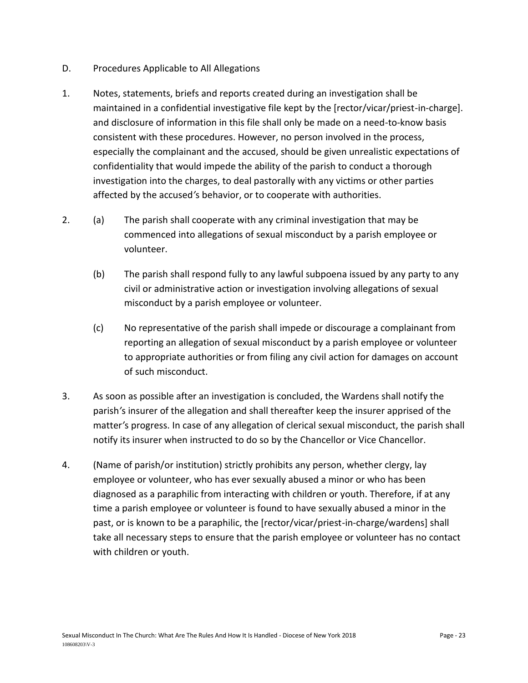- D. Procedures Applicable to All Allegations
- 1. Notes, statements, briefs and reports created during an investigation shall be maintained in a confidential investigative file kept by the [rector/vicar/priest-in-charge]. and disclosure of information in this file shall only be made on a need-to-know basis consistent with these procedures. However, no person involved in the process, especially the complainant and the accused, should be given unrealistic expectations of confidentiality that would impede the ability of the parish to conduct a thorough investigation into the charges, to deal pastorally with any victims or other parties affected by the accused*'*s behavior, or to cooperate with authorities.
- 2. (a) The parish shall cooperate with any criminal investigation that may be commenced into allegations of sexual misconduct by a parish employee or volunteer.
	- (b) The parish shall respond fully to any lawful subpoena issued by any party to any civil or administrative action or investigation involving allegations of sexual misconduct by a parish employee or volunteer.
	- (c) No representative of the parish shall impede or discourage a complainant from reporting an allegation of sexual misconduct by a parish employee or volunteer to appropriate authorities or from filing any civil action for damages on account of such misconduct.
- 3. As soon as possible after an investigation is concluded, the Wardens shall notify the parish*'*s insurer of the allegation and shall thereafter keep the insurer apprised of the matter*'*s progress. In case of any allegation of clerical sexual misconduct, the parish shall notify its insurer when instructed to do so by the Chancellor or Vice Chancellor.
- 4. (Name of parish/or institution) strictly prohibits any person, whether clergy, lay employee or volunteer, who has ever sexually abused a minor or who has been diagnosed as a paraphilic from interacting with children or youth. Therefore, if at any time a parish employee or volunteer is found to have sexually abused a minor in the past, or is known to be a paraphilic, the [rector/vicar/priest-in-charge/wardens] shall take all necessary steps to ensure that the parish employee or volunteer has no contact with children or youth.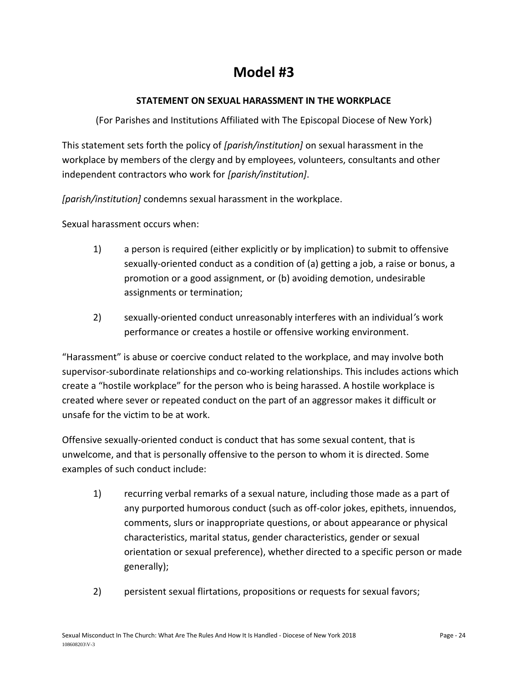# **Model #3**

# **STATEMENT ON SEXUAL HARASSMENT IN THE WORKPLACE**

(For Parishes and Institutions Affiliated with The Episcopal Diocese of New York)

This statement sets forth the policy of *[parish/institution]* on sexual harassment in the workplace by members of the clergy and by employees, volunteers, consultants and other independent contractors who work for *[parish/institution]*.

*[parish/institution]* condemns sexual harassment in the workplace.

Sexual harassment occurs when:

- 1) a person is required (either explicitly or by implication) to submit to offensive sexually-oriented conduct as a condition of (a) getting a job, a raise or bonus, a promotion or a good assignment, or (b) avoiding demotion, undesirable assignments or termination;
- 2) sexually-oriented conduct unreasonably interferes with an individual*'*s work performance or creates a hostile or offensive working environment.

"Harassment" is abuse or coercive conduct related to the workplace, and may involve both supervisor-subordinate relationships and co-working relationships. This includes actions which create a "hostile workplace" for the person who is being harassed. A hostile workplace is created where sever or repeated conduct on the part of an aggressor makes it difficult or unsafe for the victim to be at work.

Offensive sexually-oriented conduct is conduct that has some sexual content, that is unwelcome, and that is personally offensive to the person to whom it is directed. Some examples of such conduct include:

- 1) recurring verbal remarks of a sexual nature, including those made as a part of any purported humorous conduct (such as off-color jokes, epithets, innuendos, comments, slurs or inappropriate questions, or about appearance or physical characteristics, marital status, gender characteristics, gender or sexual orientation or sexual preference), whether directed to a specific person or made generally);
- 2) persistent sexual flirtations, propositions or requests for sexual favors;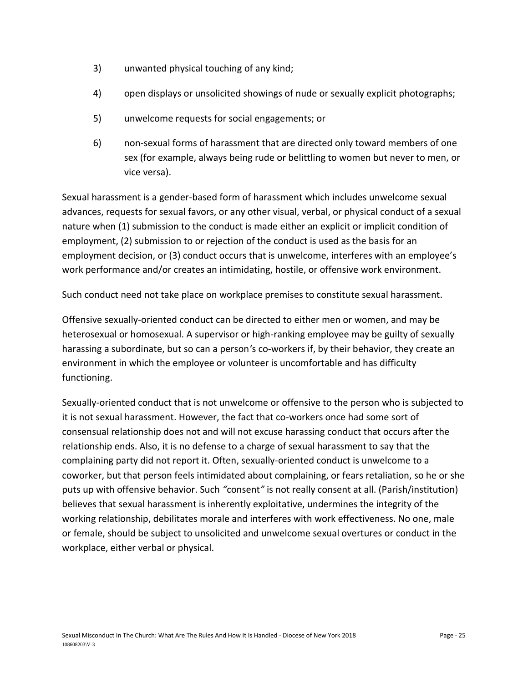- 3) unwanted physical touching of any kind;
- 4) open displays or unsolicited showings of nude or sexually explicit photographs;
- 5) unwelcome requests for social engagements; or
- 6) non-sexual forms of harassment that are directed only toward members of one sex (for example, always being rude or belittling to women but never to men, or vice versa).

Sexual harassment is a gender-based form of harassment which includes unwelcome sexual advances, requests for sexual favors, or any other visual, verbal, or physical conduct of a sexual nature when (1) submission to the conduct is made either an explicit or implicit condition of employment, (2) submission to or rejection of the conduct is used as the basis for an employment decision, or (3) conduct occurs that is unwelcome, interferes with an employee's work performance and/or creates an intimidating, hostile, or offensive work environment.

Such conduct need not take place on workplace premises to constitute sexual harassment.

Offensive sexually-oriented conduct can be directed to either men or women, and may be heterosexual or homosexual. A supervisor or high-ranking employee may be guilty of sexually harassing a subordinate, but so can a person*'*s co-workers if, by their behavior, they create an environment in which the employee or volunteer is uncomfortable and has difficulty functioning.

Sexually-oriented conduct that is not unwelcome or offensive to the person who is subjected to it is not sexual harassment. However, the fact that co-workers once had some sort of consensual relationship does not and will not excuse harassing conduct that occurs after the relationship ends. Also, it is no defense to a charge of sexual harassment to say that the complaining party did not report it. Often, sexually-oriented conduct is unwelcome to a coworker, but that person feels intimidated about complaining, or fears retaliation, so he or she puts up with offensive behavior. Such *"*consent*"* is not really consent at all. (Parish/institution) believes that sexual harassment is inherently exploitative, undermines the integrity of the working relationship, debilitates morale and interferes with work effectiveness. No one, male or female, should be subject to unsolicited and unwelcome sexual overtures or conduct in the workplace, either verbal or physical.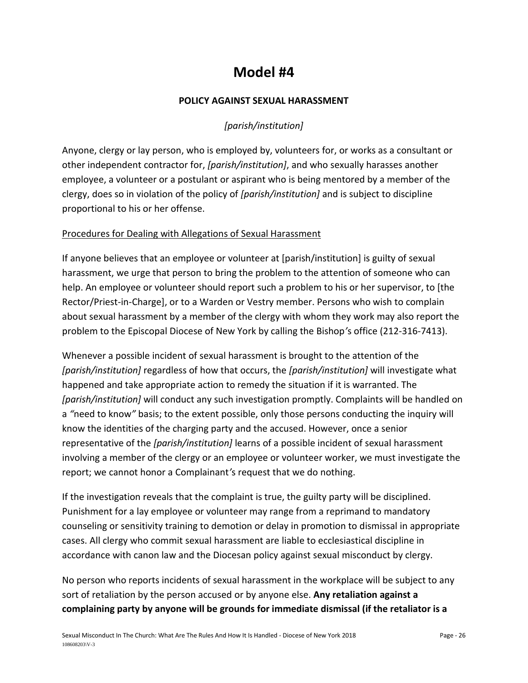# **Model #4**

## **POLICY AGAINST SEXUAL HARASSMENT**

# *[parish/institution]*

Anyone, clergy or lay person, who is employed by, volunteers for, or works as a consultant or other independent contractor for, *[parish/institution]*, and who sexually harasses another employee, a volunteer or a postulant or aspirant who is being mentored by a member of the clergy, does so in violation of the policy of *[parish/institution]* and is subject to discipline proportional to his or her offense.

#### Procedures for Dealing with Allegations of Sexual Harassment

If anyone believes that an employee or volunteer at [parish/institution] is guilty of sexual harassment, we urge that person to bring the problem to the attention of someone who can help. An employee or volunteer should report such a problem to his or her supervisor, to [the Rector/Priest-in-Charge], or to a Warden or Vestry member. Persons who wish to complain about sexual harassment by a member of the clergy with whom they work may also report the problem to the Episcopal Diocese of New York by calling the Bishop*'*s office (212-316-7413).

Whenever a possible incident of sexual harassment is brought to the attention of the *[parish/institution]* regardless of how that occurs, the *[parish/institution]* will investigate what happened and take appropriate action to remedy the situation if it is warranted. The *[parish/institution]* will conduct any such investigation promptly. Complaints will be handled on a *"*need to know*"* basis; to the extent possible, only those persons conducting the inquiry will know the identities of the charging party and the accused. However, once a senior representative of the *[parish/institution]* learns of a possible incident of sexual harassment involving a member of the clergy or an employee or volunteer worker, we must investigate the report; we cannot honor a Complainant*'*s request that we do nothing.

If the investigation reveals that the complaint is true, the guilty party will be disciplined. Punishment for a lay employee or volunteer may range from a reprimand to mandatory counseling or sensitivity training to demotion or delay in promotion to dismissal in appropriate cases. All clergy who commit sexual harassment are liable to ecclesiastical discipline in accordance with canon law and the Diocesan policy against sexual misconduct by clergy.

No person who reports incidents of sexual harassment in the workplace will be subject to any sort of retaliation by the person accused or by anyone else. **Any retaliation against a complaining party by anyone will be grounds for immediate dismissal (if the retaliator is a**